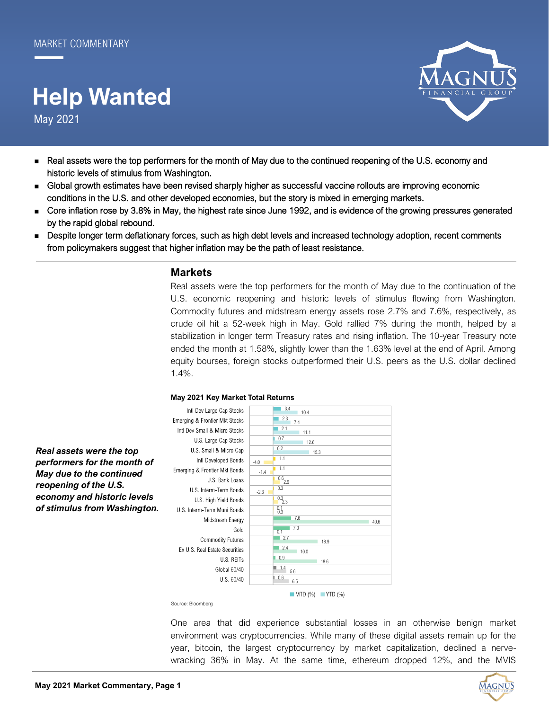# May 2021 **Help Wanted**



- Real assets were the top performers for the month of May due to the continued reopening of the U.S. economy and historic levels of stimulus from Washington.
- Global growth estimates have been revised sharply higher as successful vaccine rollouts are improving economic conditions in the U.S. and other developed economies, but the story is mixed in emerging markets.
- Core inflation rose by 3.8% in May, the highest rate since June 1992, and is evidence of the growing pressures generated by the rapid global rebound.
- Despite longer term deflationary forces, such as high debt levels and increased technology adoption, recent comments from policymakers suggest that higher inflation may be the path of least resistance.

### **Markets**

Real assets were the top performers for the month of May due to the continuation of the U.S. economic reopening and historic levels of stimulus flowing from Washington. Commodity futures and midstream energy assets rose 2.7% and 7.6%, respectively, as crude oil hit a 52-week high in May. Gold rallied 7% during the month, helped by a stabilization in longer term Treasury rates and rising inflation. The 10-year Treasury note ended the month at 1.58%, slightly lower than the 1.63% level at the end of April. Among equity bourses, foreign stocks outperformed their U.S. peers as the U.S. dollar declined 1.4%.

#### **May 2021 Key Market Total Returns** 3.4 Intl Dev Large Cap Stocks  $10.4$ 2.3 Emerging & Frontier Mkt Stocks 7.4  $-2.1$ Intl Dev Small & Micro Stocks  $11.1$  $0.7$ U.S. Large Cap Stocks 12.6  $0.2$ U.S. Small & Micro Cap 15.3 1.1 Intl Developed Bonds  $-4.0$ 1.1 Emerging & Frontier Mkt Bonds -1.4 U.S. Bank Loans  $^{0.6}$ <sub>2.9</sub> 0.3 U.S. Interm-Term Bonds -2.3 U.S. High Yield Bonds  $^{0.3}_{2.3}$ 0.3 0.1 U.S. Interm-Term Muni Bonds 7.6 Midstream Energy 40.6 7.0 Gold 0.1 Commodity Futures 2.7 18.9 2.4 Ex U.S. Real Estate Securities  $10.0$ 0.9 U.S. REITS 18.6  $\blacksquare$  1.4 Global 60/40 5.6  $\vert\vert$  0.6 U.S. 60/40 6.5 ■ MTD (%) ■ YTD (%)

*Real assets were the top performers for the month of May due to the continued reopening of the U.S. economy and historic levels of stimulus from Washington.*

Source: Bloomberg

One area that did experience substantial losses in an otherwise benign market environment was cryptocurrencies. While many of these digital assets remain up for the year, bitcoin, the largest cryptocurrency by market capitalization, declined a nervewracking 36% in May. At the same time, ethereum dropped 12%, and the MVIS

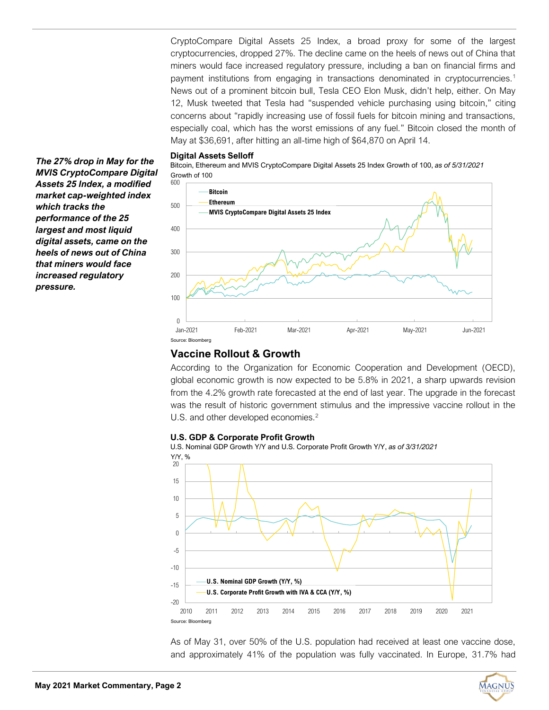CryptoCompare Digital Assets 25 Index, a broad proxy for some of the largest cryptocurrencies, dropped 27%. The decline came on the heels of news out of China that miners would face increased regulatory pressure, including a ban on financial firms and payment institutions from engaging in transactions denominated in cryptocurrencies.<sup>1</sup> News out of a prominent bitcoin bull, Tesla CEO Elon Musk, didn't help, either. On May 12, Musk tweeted that Tesla had "suspended vehicle purchasing using bitcoin," citing concerns about "rapidly increasing use of fossil fuels for bitcoin mining and transactions, especially coal, which has the worst emissions of any fuel." Bitcoin closed the month of May at \$36,691, after hitting an all-time high of \$64,870 on April 14.

#### **Digital Assets Selloff**

Bitcoin, Ethereum and MVIS CryptoCompare Digital Assets 25 Index Growth of 100, *as of 5/31/2021* Growth of 100



# **Vaccine Rollout & Growth**

According to the Organization for Economic Cooperation and Development (OECD), global economic growth is now expected to be 5.8% in 2021, a sharp upwards revision from the 4.2% growth rate forecasted at the end of last year. The upgrade in the forecast was the result of historic government stimulus and the impressive vaccine rollout in the U.S. and other developed economies.<sup>2</sup>

#### **U.S. GDP & Corporate Profit Growth**

U.S. Nominal GDP Growth Y/Y and U.S. Corporate Profit Growth Y/Y, *as of 3/31/2021*



As of May 31, over 50% of the U.S. population had received at least one vaccine dose, and approximately 41% of the population was fully vaccinated. In Europe, 31.7% had

*The 27% drop in May for the MVIS CryptoCompare Digital Assets 25 Index, a modified market cap-weighted index which tracks the performance of the 25 largest and most liquid digital assets, came on the heels of news out of China that miners would face increased regulatory pressure.*

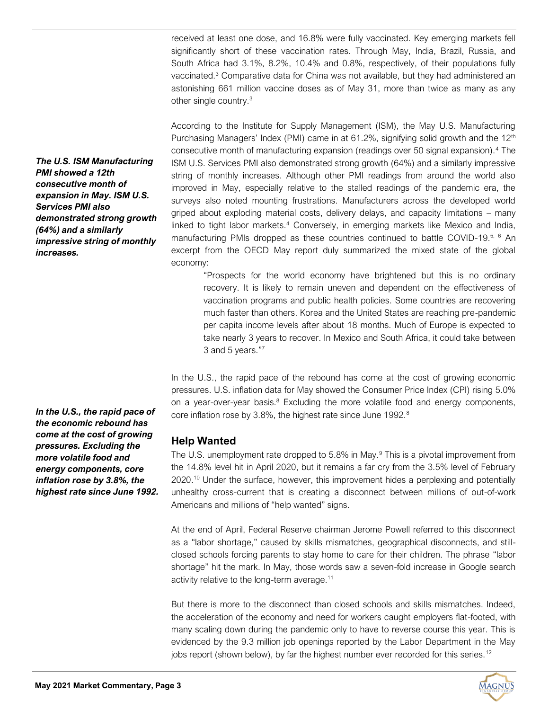received at least one dose, and 16.8% were fully vaccinated. Key emerging markets fell significantly short of these vaccination rates. Through May, India, Brazil, Russia, and South Africa had 3.1%, 8.2%, 10.4% and 0.8%, respectively, of their populations fully vaccinated.<sup>3</sup> Comparative data for China was not available, but they had administered an astonishing 661 million vaccine doses as of May 31, more than twice as many as any other single country.<sup>3</sup>

According to the Institute for Supply Management (ISM), the May U.S. Manufacturing Purchasing Managers' Index (PMI) came in at 61.2%, signifying solid growth and the 12<sup>th</sup> consecutive month of manufacturing expansion (readings over 50 signal expansion).<sup>4</sup> The ISM U.S. Services PMI also demonstrated strong growth (64%) and a similarly impressive string of monthly increases. Although other PMI readings from around the world also improved in May, especially relative to the stalled readings of the pandemic era, the surveys also noted mounting frustrations. Manufacturers across the developed world griped about exploding material costs, delivery delays, and capacity limitations – many linked to tight labor markets.<sup>4</sup> Conversely, in emerging markets like Mexico and India, manufacturing PMIs dropped as these countries continued to battle COVID-19.<sup>5, 6</sup> An excerpt from the OECD May report duly summarized the mixed state of the global economy:

"Prospects for the world economy have brightened but this is no ordinary recovery. It is likely to remain uneven and dependent on the effectiveness of vaccination programs and public health policies. Some countries are recovering much faster than others. Korea and the United States are reaching pre-pandemic per capita income levels after about 18 months. Much of Europe is expected to take nearly 3 years to recover. In Mexico and South Africa, it could take between 3 and 5 years."7

In the U.S., the rapid pace of the rebound has come at the cost of growing economic pressures. U.S. inflation data for May showed the Consumer Price Index (CPI) rising 5.0% on a year-over-year basis. $8$  Excluding the more volatile food and energy components, core inflation rose by 3.8%, the highest rate since June 1992.<sup>8</sup>

# **Help Wanted**

The U.S. unemployment rate dropped to 5.8% in May. $9$  This is a pivotal improvement from the 14.8% level hit in April 2020, but it remains a far cry from the 3.5% level of February 2020.<sup>10</sup> Under the surface, however, this improvement hides a perplexing and potentially unhealthy cross-current that is creating a disconnect between millions of out-of-work Americans and millions of "help wanted" signs.

At the end of April, Federal Reserve chairman Jerome Powell referred to this disconnect as a "labor shortage," caused by skills mismatches, geographical disconnects, and stillclosed schools forcing parents to stay home to care for their children. The phrase "labor shortage" hit the mark. In May, those words saw a seven-fold increase in Google search activity relative to the long-term average.<sup>11</sup>

But there is more to the disconnect than closed schools and skills mismatches. Indeed, the acceleration of the economy and need for workers caught employers flat-footed, with many scaling down during the pandemic only to have to reverse course this year. This is evidenced by the 9.3 million job openings reported by the Labor Department in the May jobs report (shown below), by far the highest number ever recorded for this series.<sup>12</sup>

*The U.S. ISM Manufacturing PMI showed a 12th consecutive month of expansion in May. ISM U.S. Services PMI also demonstrated strong growth (64%) and a similarly impressive string of monthly increases.*

*In the U.S., the rapid pace of the economic rebound has come at the cost of growing pressures. Excluding the more volatile food and energy components, core inflation rose by 3.8%, the highest rate since June 1992.*

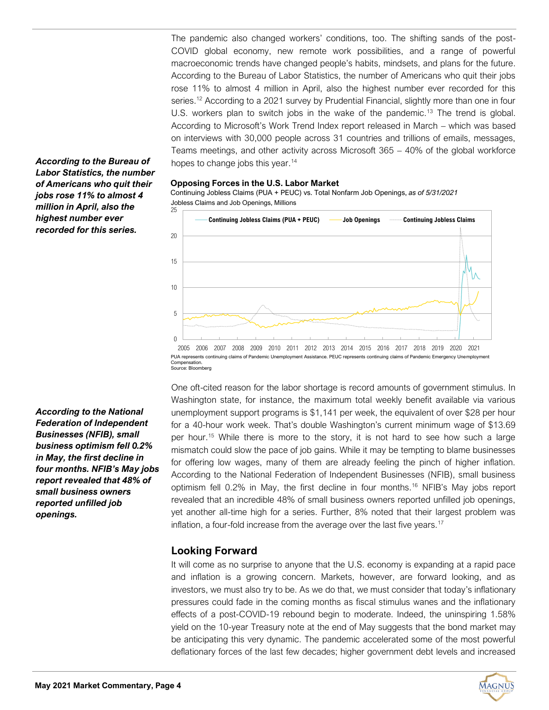The pandemic also changed workers' conditions, too. The shifting sands of the post-COVID global economy, new remote work possibilities, and a range of powerful macroeconomic trends have changed people's habits, mindsets, and plans for the future. According to the Bureau of Labor Statistics, the number of Americans who quit their jobs rose 11% to almost 4 million in April, also the highest number ever recorded for this series.<sup>12</sup> According to a 2021 survey by Prudential Financial, slightly more than one in four U.S. workers plan to switch jobs in the wake of the pandemic.<sup>13</sup> The trend is global. According to Microsoft's Work Trend Index report released in March – which was based on interviews with 30,000 people across 31 countries and trillions of emails, messages, Teams meetings, and other activity across Microsoft 365 – 40% of the global workforce hopes to change jobs this year.<sup>14</sup>

#### **Opposing Forces in the U.S. Labor Market**

Continuing Jobless Claims (PUA + PEUC) vs. Total Nonfarm Job Openings, *as of 5/31/2021* Jobless Claims and Job Openings, Millions



Source: Bloomberg

One oft-cited reason for the labor shortage is record amounts of government stimulus. In Washington state, for instance, the maximum total weekly benefit available via various unemployment support programs is \$1,141 per week, the equivalent of over \$28 per hour for a 40-hour work week. That's double Washington's current minimum wage of \$13.69 per hour.<sup>15</sup> While there is more to the story, it is not hard to see how such a large mismatch could slow the pace of job gains. While it may be tempting to blame businesses for offering low wages, many of them are already feeling the pinch of higher inflation. According to the National Federation of Independent Businesses (NFIB), small business optimism fell 0.2% in May, the first decline in four months.<sup>16</sup> NFIB's May jobs report revealed that an incredible 48% of small business owners reported unfilled job openings, yet another all-time high for a series. Further, 8% noted that their largest problem was inflation, a four-fold increase from the average over the last five years.<sup>17</sup>

# **Looking Forward**

It will come as no surprise to anyone that the U.S. economy is expanding at a rapid pace and inflation is a growing concern. Markets, however, are forward looking, and as investors, we must also try to be. As we do that, we must consider that today's inflationary pressures could fade in the coming months as fiscal stimulus wanes and the inflationary effects of a post-COVID-19 rebound begin to moderate. Indeed, the uninspiring 1.58% yield on the 10-year Treasury note at the end of May suggests that the bond market may be anticipating this very dynamic. The pandemic accelerated some of the most powerful deflationary forces of the last few decades; higher government debt levels and increased

*According to the Bureau of Labor Statistics, the number of Americans who quit their jobs rose 11% to almost 4 million in April, also the highest number ever recorded for this series.*

*According to the National Federation of Independent Businesses (NFIB), small business optimism fell 0.2% in May, the first decline in four months. NFIB's May jobs report revealed that 48% of small business owners reported unfilled job openings.*

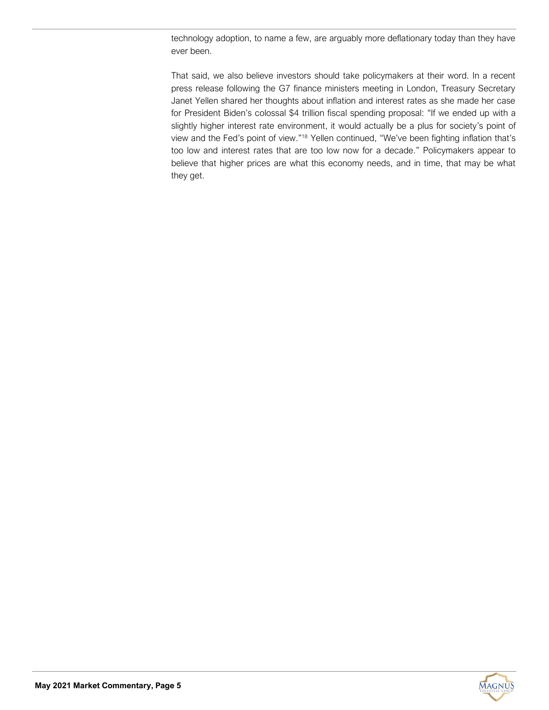technology adoption, to name a few, are arguably more deflationary today than they have ever been.

That said, we also believe investors should take policymakers at their word. In a recent press release following the G7 finance ministers meeting in London, Treasury Secretary Janet Yellen shared her thoughts about inflation and interest rates as she made her case for President Biden's colossal \$4 trillion fiscal spending proposal: "If we ended up with a slightly higher interest rate environment, it would actually be a plus for society's point of view and the Fed's point of view."<sup>18</sup> Yellen continued, "We've been fighting inflation that's too low and interest rates that are too low now for a decade." Policymakers appear to believe that higher prices are what this economy needs, and in time, that may be what they get.

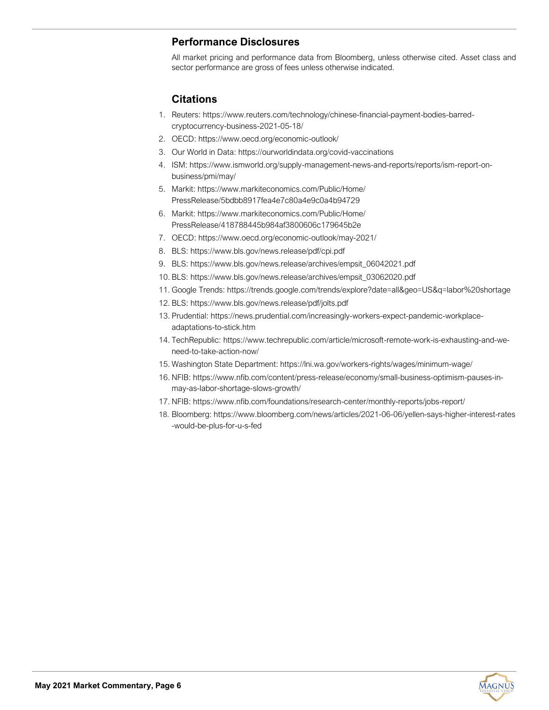# **Performance Disclosures**

All market pricing and performance data from Bloomberg, unless otherwise cited. Asset class and sector performance are gross of fees unless otherwise indicated.

# **Citations**

- 1. Reuters: https://www.reuters.com/technology/chinese-financial-payment-bodies-barredcryptocurrency-business-2021-05-18/
- 2. OECD: https://www.oecd.org/economic-outlook/
- 3. Our World in Data: https://ourworldindata.org/covid-vaccinations
- 4. ISM: [https://www.ismworld.org/supply](https://www.ismworld.org/supply-management-news-and-reports/reports/ism-report-on-business/pmi/may/)-management-news-and-reports/reports/ism-report-on[business/pmi/may/](https://www.ismworld.org/supply-management-news-and-reports/reports/ism-report-on-business/pmi/may/)
- 5. Markit: [https://www.markiteconomics.com/Public/Home/](https://www.markiteconomics.com/Public/Home/PressRelease/5bdbb8917fea4e7c80a4e9c0a4b94729) [PressRelease/5bdbb8917fea4e7c80a4e9c0a4b94729](https://www.markiteconomics.com/Public/Home/PressRelease/5bdbb8917fea4e7c80a4e9c0a4b94729)
- 6. Markit: [https://www.markiteconomics.com/Public/Home/](https://www.markiteconomics.com/Public/Home/PressRelease/418788445b984af3800606c179645b2e) [PressRelease/418788445b984af3800606c179645b2e](https://www.markiteconomics.com/Public/Home/PressRelease/418788445b984af3800606c179645b2e)
- 7. OECD: [https://www.oecd.org/economic](https://www.oecd.org/economic-outlook/may-2021/)-outlook/may-2021/
- 8. BLS: <https://www.bls.gov/news.release/pdf/cpi.pdf>
- 9. BLS: [https://www.bls.gov/news.release/archives/empsit\\_06042021.pdf](https://www.bls.gov/news.release/archives/empsit_06042021.pdf)
- 10. BLS: [https://www.bls.gov/news.release/archives/empsit\\_03062020.pdf](https://www.bls.gov/news.release/archives/empsit_03062020.pdf)
- 11. Google Trends:<https://trends.google.com/trends/explore?date=all&geo=US&q=labor%20shortage>
- 12. BLS: <https://www.bls.gov/news.release/pdf/jolts.pdf>
- 13. Prudential: [https://news.prudential.com/increasingly](https://news.prudential.com/increasingly-workers-expect-pandemic-workplace-adaptations-to-stick.htm)-workers-expect-pandemic-workplace[adaptations](https://news.prudential.com/increasingly-workers-expect-pandemic-workplace-adaptations-to-stick.htm)-to-stick.htm
- 14. TechRepublic: [https://www.techrepublic.com/article/microsoft](https://www.techrepublic.com/article/microsoft-remote-work-is-exhausting-and-we-need-to-take-action-now/)-remote-work-is-exhausting-and-weneed-to-take-[action](https://www.techrepublic.com/article/microsoft-remote-work-is-exhausting-and-we-need-to-take-action-now/)-now/
- 15. Washington State Department: [https://lni.wa.gov/workers](https://lni.wa.gov/workers-rights/wages/minimum-wage/)-rights/wages/minimum-wage/
- 16. NFIB: https://www.nfib.com/content/press-release/economy/small-business-optimism-pauses-inmay-as-labor-shortage-slows-growth/
- 17. NFIB: https://www.nfib.com/foundations/research-center/monthly-reports/jobs-report/
- 18. Bloomberg: https://www.bloomberg.com/news/articles/2021-06-06/yellen-says-higher-interest-rates -would-be-plus-for-u-s-fed